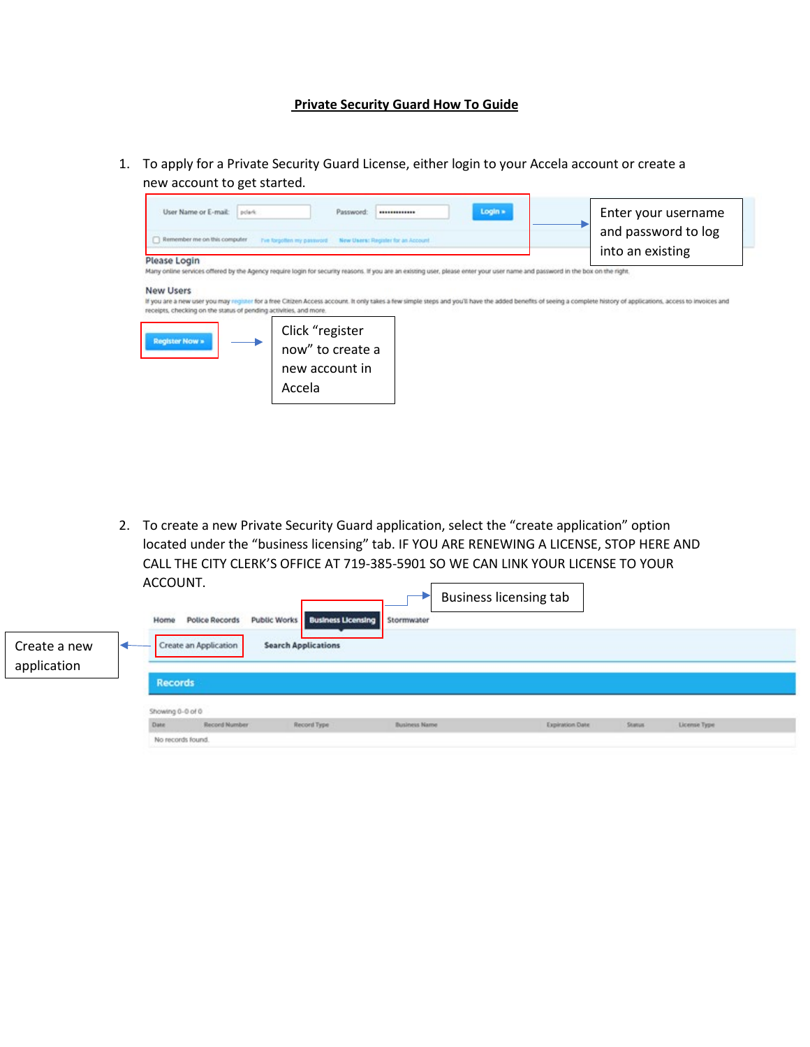## **Private Security Guard How To Guide**

1. To apply for a Private Security Guard License, either login to your Accela account or create a new account to get started.



2. To create a new Private Security Guard application, select the "create application" option located under the "business licensing" tab. IF YOU ARE RENEWING A LICENSE, STOP HERE AND CALL THE CITY CLERK'S OFFICE AT 719-385-5901 SO WE CAN LINK YOUR LICENSE TO YOUR ACCOUNT.  $\blacktriangleright$  Rusiness licensing tab

| Create a new<br>application | Home                                        | <b>Police Records</b><br>Create an Application | Public Works   Business Licensing   Stormwater<br><b>Search Applications</b> |                      | <b>DUSTILESS INCLISITIE LAD</b> |                 |         |              |  |
|-----------------------------|---------------------------------------------|------------------------------------------------|------------------------------------------------------------------------------|----------------------|---------------------------------|-----------------|---------|--------------|--|
|                             | <b>Records</b><br>Showing 0-0 of 0<br>Date: | Record Number                                  | Record Type                                                                  | <b>Business Name</b> |                                 | Expiration Date | Status. | License Type |  |
|                             | No records found.                           |                                                |                                                                              |                      |                                 |                 |         |              |  |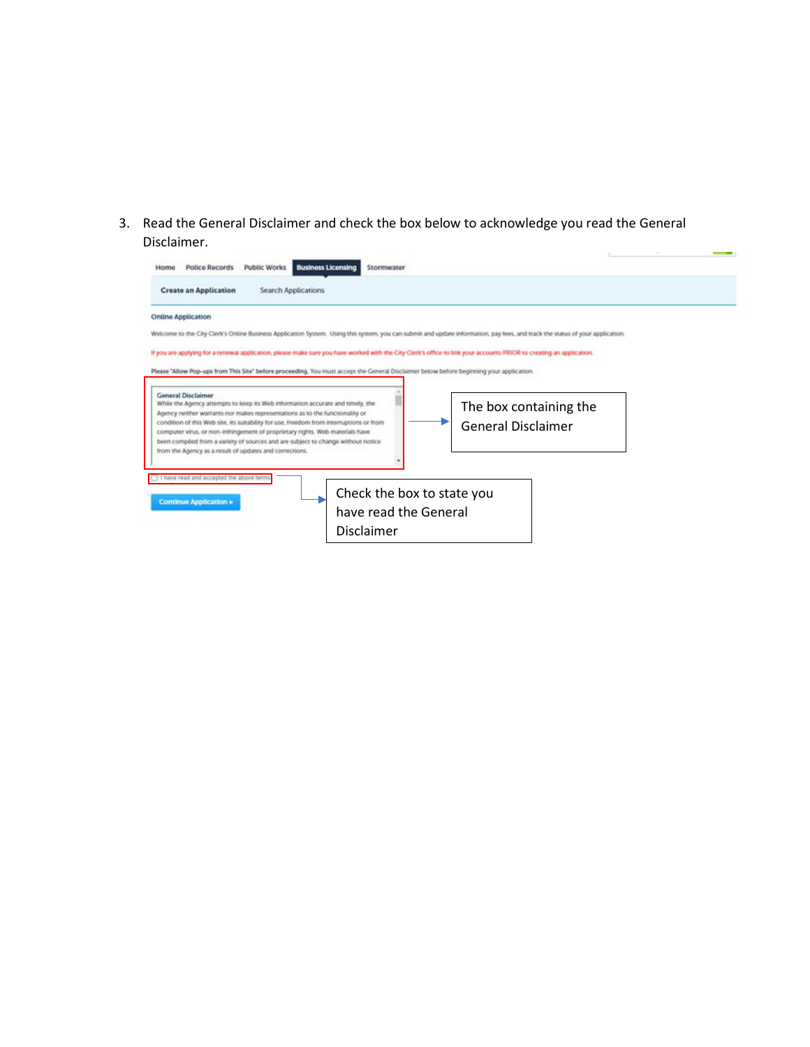3. Read the General Disclaimer and check the box below to acknowledge you read the General Disclaimer.

| <b>Create an Application</b><br><b>Search Applications</b>                                                                                                                                           |                           |  |
|------------------------------------------------------------------------------------------------------------------------------------------------------------------------------------------------------|---------------------------|--|
| <b>Online Application</b>                                                                                                                                                                            |                           |  |
| Welcome to the City Clerk's Online Business Application System. Using this system, you can submit and update information, pay fees, and track the status of your application.                        |                           |  |
| If you are applying for a renewal application, please make sure you have worked with the City Clerk's office to link your accounts PRIOR to creating an application.                                 |                           |  |
| Please "Allow Pop-ups from This Site" before proceeding. You must accept the General Disclaimer below before beginning your application.                                                             |                           |  |
|                                                                                                                                                                                                      |                           |  |
| <b>General Disclaimer</b><br>While the Agency attempts to keep its Web information accurate and timely, the                                                                                          | The box containing the    |  |
| Agency neither warrants nor makes representations as to the functionality or<br>condition of this Web site, its suitability for use, freedom from interruptions or from                              |                           |  |
| computer virus, or non-infringement of proprietary rights. Web materials have                                                                                                                        | <b>General Disclaimer</b> |  |
|                                                                                                                                                                                                      |                           |  |
|                                                                                                                                                                                                      |                           |  |
|                                                                                                                                                                                                      |                           |  |
|                                                                                                                                                                                                      |                           |  |
| Check the box to state you                                                                                                                                                                           |                           |  |
| <b>Continue Application »</b><br>have read the General                                                                                                                                               |                           |  |
| been compiled from a variety of sources and are subject to change without notice<br>from the Agency as a result of updates and corrections.<br>I have read and accepted the above term<br>Disclaimer |                           |  |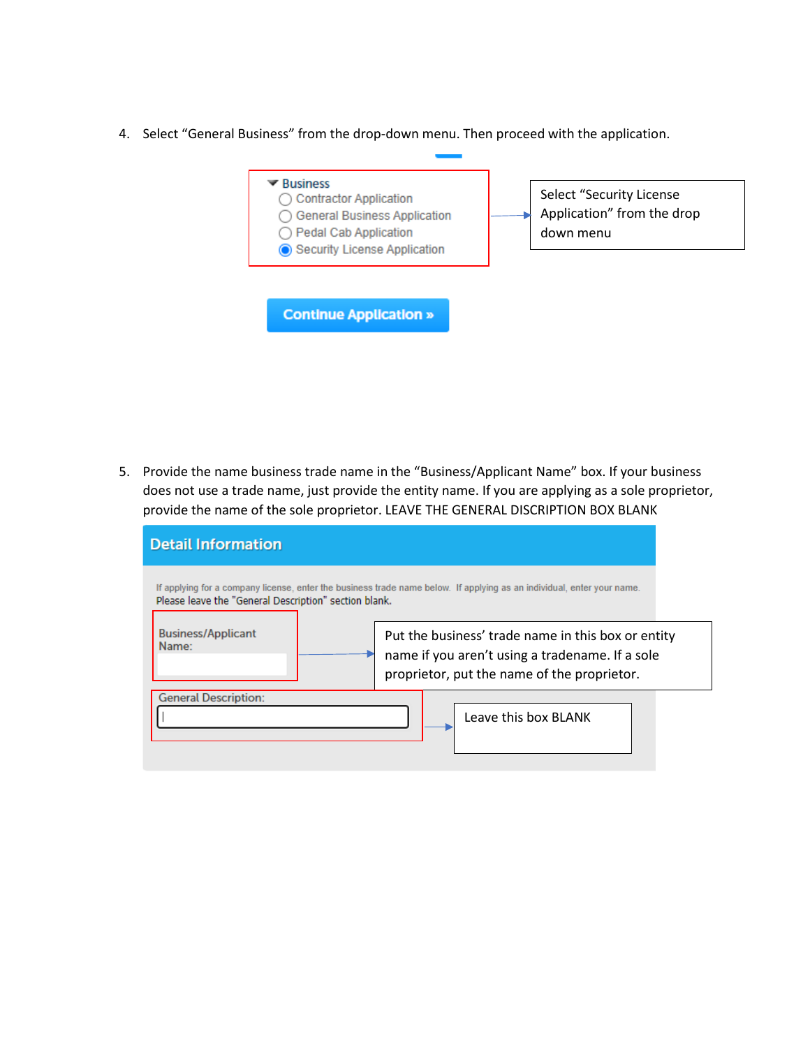4. Select "General Business" from the drop-down menu. Then proceed with the application.

| $\blacktriangledown$ Business<br><b>Contractor Application</b><br><b>General Business Application</b><br>Pedal Cab Application<br>Security License Application | Select "Security License<br>Application" from the drop<br>down menu |
|----------------------------------------------------------------------------------------------------------------------------------------------------------------|---------------------------------------------------------------------|
| <b>Continue Application »</b>                                                                                                                                  |                                                                     |

5. Provide the name business trade name in the "Business/Applicant Name" box. If your business does not use a trade name, just provide the entity name. If you are applying as a sole proprietor, provide the name of the sole proprietor. LEAVE THE GENERAL DISCRIPTION BOX BLANK

| <b>Detail Information</b>                             |                                                                                                                                                      |
|-------------------------------------------------------|------------------------------------------------------------------------------------------------------------------------------------------------------|
| Please leave the "General Description" section blank. | If applying for a company license, enter the business trade name below. If applying as an individual, enter your name.                               |
| <b>Business/Applicant</b><br>Name:                    | Put the business' trade name in this box or entity<br>name if you aren't using a tradename. If a sole<br>proprietor, put the name of the proprietor. |
| <b>General Description:</b>                           | Leave this box BLANK                                                                                                                                 |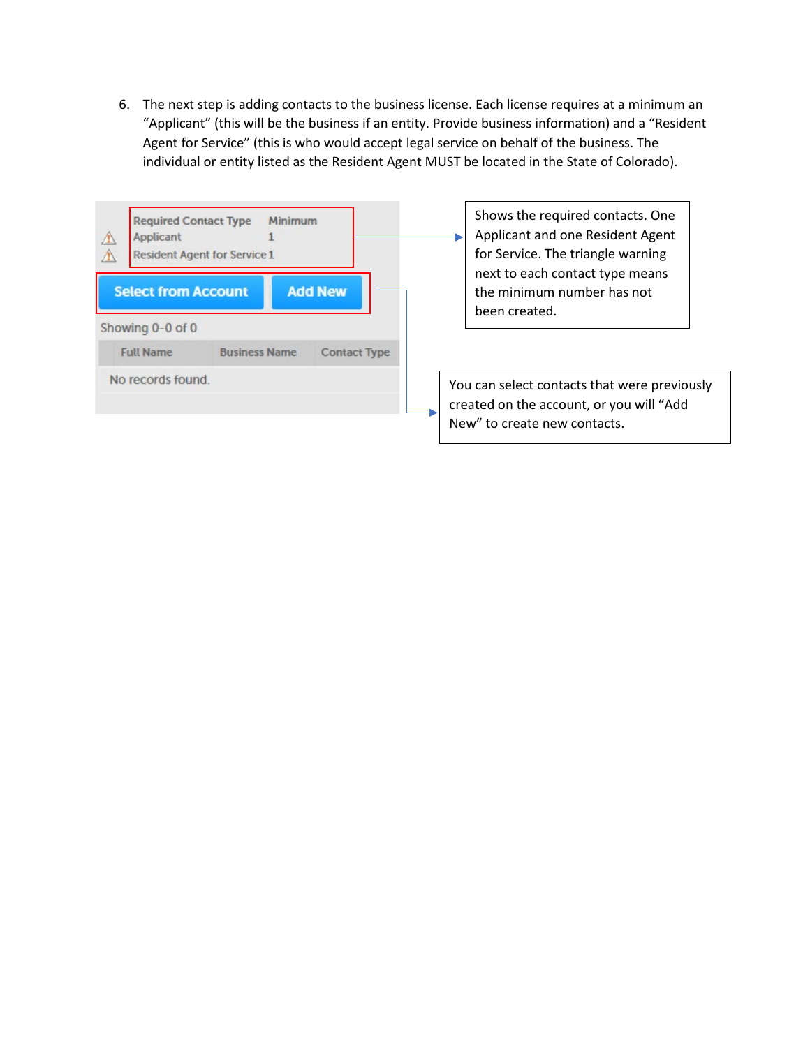6. The next step is adding contacts to the business license. Each license requires at a minimum an "Applicant" (this will be the business if an entity. Provide business information) and a "Resident Agent for Service" (this is who would accept legal service on behalf of the business. The individual or entity listed as the Resident Agent MUST be located in the State of Colorado).

| <b>Required Contact Type</b><br>Applicant      | Minimum<br><b>Resident Agent for Service 1</b> |                     | Shows the required contacts. One<br>Applicant and one Resident Agent<br>for Service. The triangle warning<br>next to each contact type means |
|------------------------------------------------|------------------------------------------------|---------------------|----------------------------------------------------------------------------------------------------------------------------------------------|
| <b>Select from Account</b><br>Showing 0-0 of 0 |                                                | <b>Add New</b>      | the minimum number has not<br>been created.                                                                                                  |
| <b>Full Name</b>                               | <b>Business Name</b>                           | <b>Contact Type</b> |                                                                                                                                              |
| No records found.                              |                                                |                     | You can select contacts that were previously<br>created on the account, or you will "Add<br>New" to create new contacts.                     |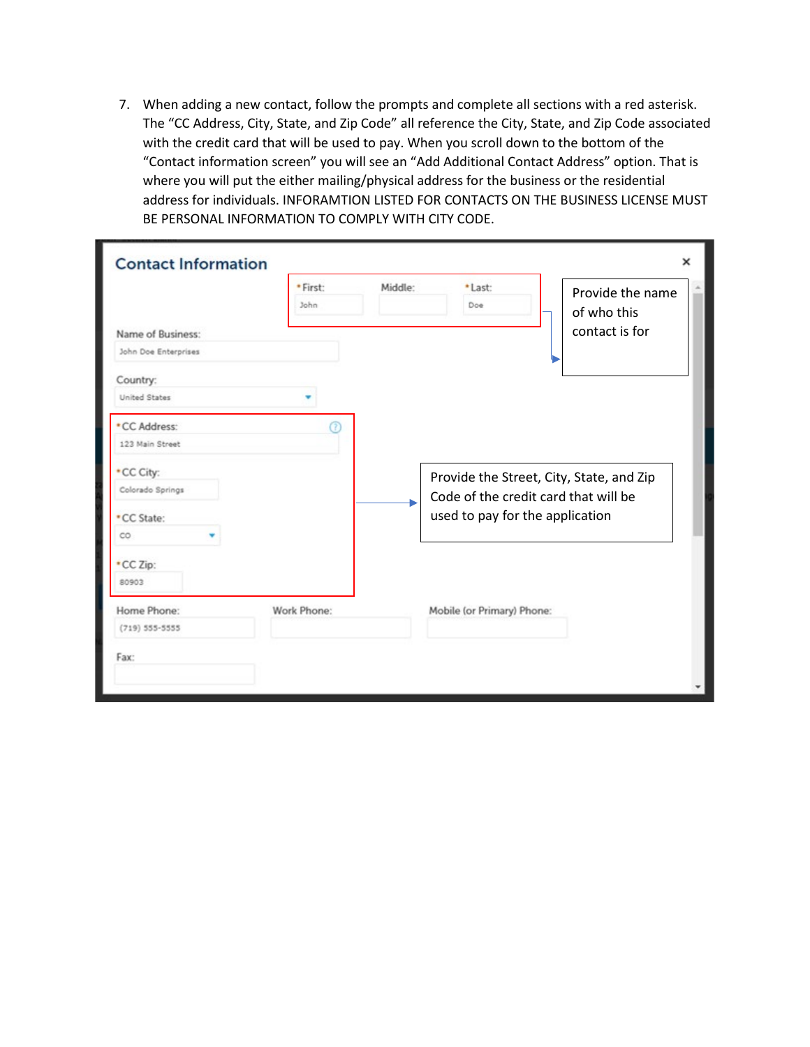7. When adding a new contact, follow the prompts and complete all sections with a red asterisk. The "CC Address, City, State, and Zip Code" all reference the City, State, and Zip Code associated with the credit card that will be used to pay. When you scroll down to the bottom of the "Contact information screen" you will see an "Add Additional Contact Address" option. That is where you will put the either mailing/physical address for the business or the residential address for individuals. INFORAMTION LISTED FOR CONTACTS ON THE BUSINESS LICENSE MUST BE PERSONAL INFORMATION TO COMPLY WITH CITY CODE.

| <b>Contact Information</b> |                  |         |                                          |                                 | × |
|----------------------------|------------------|---------|------------------------------------------|---------------------------------|---|
|                            | · First:<br>John | Middle: | *Last:<br>Doe                            | Provide the name<br>of who this |   |
| Name of Business:          |                  |         |                                          | contact is for                  |   |
| John Doe Enterprises       |                  |         |                                          |                                 |   |
| Country:<br>United States  |                  |         |                                          |                                 |   |
| *CC Address:               | റ                |         |                                          |                                 |   |
| 123 Main Street            |                  |         |                                          |                                 |   |
| *CC City:                  |                  |         | Provide the Street, City, State, and Zip |                                 |   |
| Colorado Springs           |                  |         | Code of the credit card that will be     |                                 |   |
| *CC State:                 |                  |         | used to pay for the application          |                                 |   |
| co                         |                  |         |                                          |                                 |   |
| *CC Zip:<br>80903          |                  |         |                                          |                                 |   |
| Home Phone:                | Work Phone:      |         | Mobile (or Primary) Phone:               |                                 |   |
| $(719) 555 - 5555$         |                  |         |                                          |                                 |   |
| Fax:                       |                  |         |                                          |                                 |   |
|                            |                  |         |                                          |                                 |   |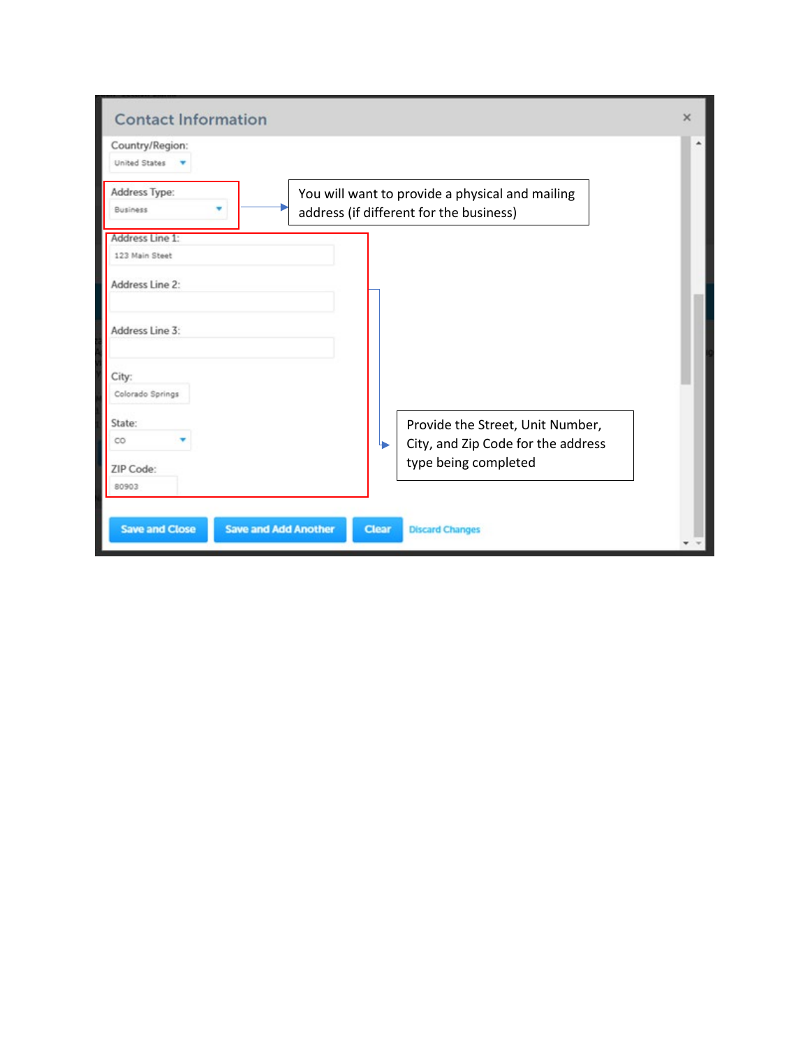| <b>Contact Information</b>                           |                                                                                            | $\times$ |
|------------------------------------------------------|--------------------------------------------------------------------------------------------|----------|
| Country/Region:<br><b>United States</b>              |                                                                                            |          |
| Address Type:<br><b>Business</b>                     | You will want to provide a physical and mailing<br>address (if different for the business) |          |
| Address Line 1:<br>123 Main Steet                    |                                                                                            |          |
| Address Line 2:                                      |                                                                                            |          |
| Address Line 3:                                      |                                                                                            |          |
| City:<br>Colorado Springs                            |                                                                                            |          |
| State:<br>co                                         | Provide the Street, Unit Number,<br>City, and Zip Code for the address<br>↳                |          |
| ZIP Code:<br>80903                                   | type being completed                                                                       |          |
| <b>Save and Close</b><br><b>Save and Add Another</b> | <b>Clear</b><br><b>Discard Changes</b>                                                     |          |
|                                                      |                                                                                            |          |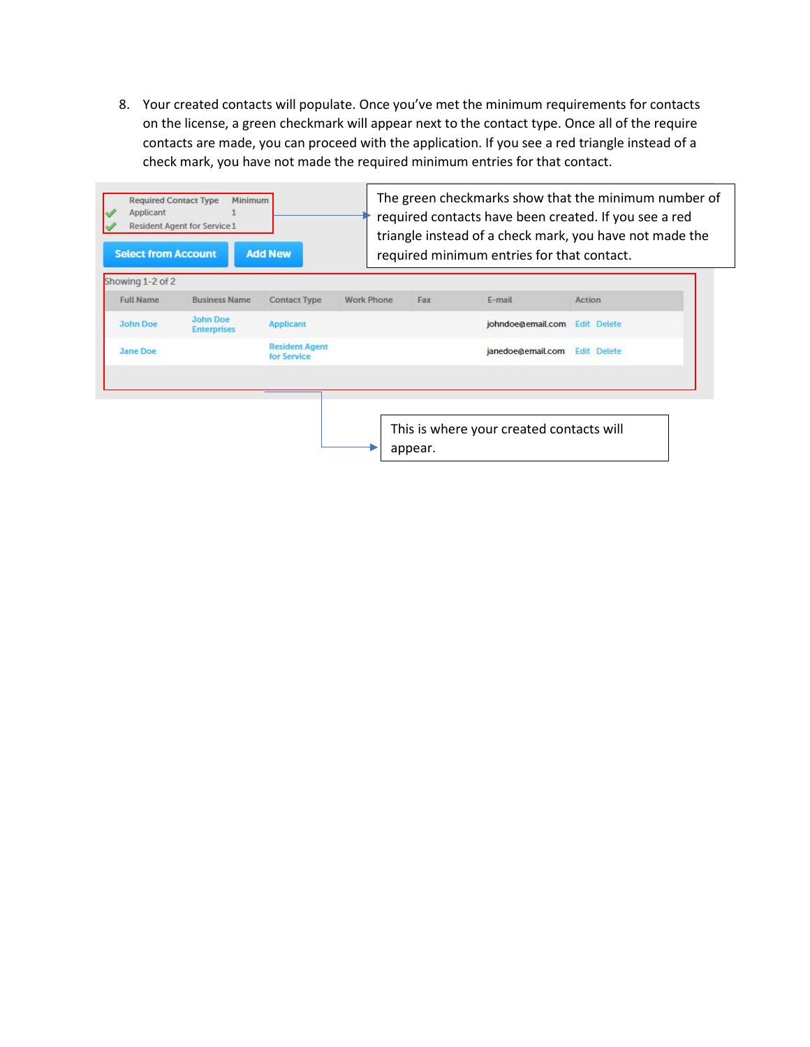8. Your created contacts will populate. Once you've met the minimum requirements for contacts on the license, a green checkmark will appear next to the contact type. Once all of the require contacts are made, you can proceed with the application. If you see a red triangle instead of a check mark, you have not made the required minimum entries for that contact.

| Showing 1-2 of 2 |                                       |                                      |                   |     |                   |                    |
|------------------|---------------------------------------|--------------------------------------|-------------------|-----|-------------------|--------------------|
| <b>Full Name</b> | <b>Business Name</b>                  | <b>Contact Type</b>                  | <b>Work Phone</b> | Fax | E-mail            | Action             |
| <b>John Doe</b>  | <b>John Doe</b><br><b>Enterprises</b> | <b>Applicant</b>                     |                   |     | johndoe@email.com | <b>Edit Delete</b> |
| <b>Jane Doe</b>  |                                       | <b>Resident Agent</b><br>for Service |                   |     | janedoe@email.com | <b>Edit Delete</b> |
|                  |                                       |                                      |                   |     |                   |                    |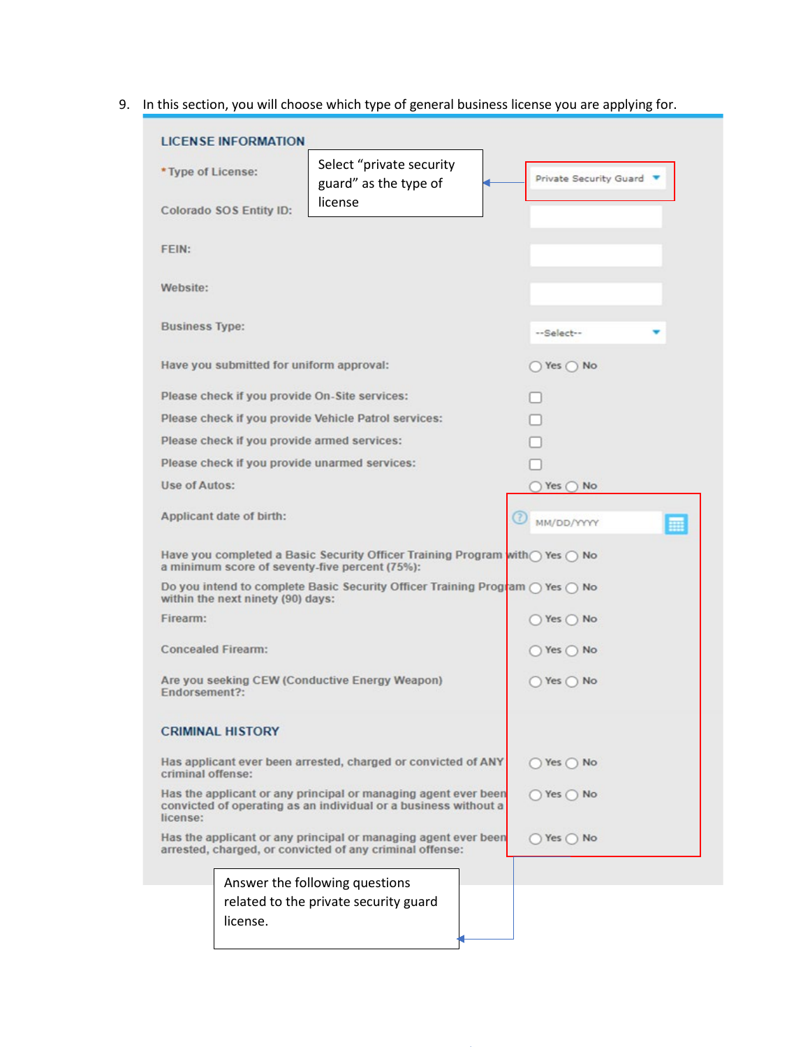9. In this section, you will choose which type of general business license you are applying for.

| <b>LICENSE INFORMATION</b>               |                                                                                                                                                |                              |   |
|------------------------------------------|------------------------------------------------------------------------------------------------------------------------------------------------|------------------------------|---|
| * Type of License:                       | Select "private security<br>guard" as the type of                                                                                              | Private Security Guard       |   |
| Colorado SOS Entity ID:                  | license                                                                                                                                        |                              |   |
| <b>FEIN:</b>                             |                                                                                                                                                |                              |   |
| Website:                                 |                                                                                                                                                |                              |   |
| <b>Business Type:</b>                    |                                                                                                                                                | --Select--                   |   |
| Have you submitted for uniform approval: |                                                                                                                                                | $)$ Yes $()$ No              |   |
|                                          | Please check if you provide On-Site services:                                                                                                  |                              |   |
|                                          | Please check if you provide Vehicle Patrol services:                                                                                           |                              |   |
|                                          | Please check if you provide armed services:                                                                                                    |                              |   |
|                                          | Please check if you provide unarmed services:                                                                                                  |                              |   |
| Use of Autos:                            |                                                                                                                                                | $)$ Yes $\bigcap$ No         |   |
| Applicant date of birth:                 |                                                                                                                                                | MM/DD/YYYY                   | 噩 |
|                                          | Have you completed a Basic Security Officer Training Program with $\bigcap$ Yes $\bigcap$ No<br>a minimum score of seventy-five percent (75%): |                              |   |
| within the next ninety (90) days:        | Do you intend to complete Basic Security Officer Training Program $\bigcap$ Yes $\bigcap$ No                                                   |                              |   |
| Firearm:                                 |                                                                                                                                                | $\bigcirc$ Yes $\bigcirc$ No |   |
| <b>Concealed Firearm:</b>                |                                                                                                                                                | $)$ Yes $()$ No              |   |
| Endorsement?:                            | Are you seeking CEW (Conductive Energy Weapon)                                                                                                 | $()$ Yes $()$ No             |   |
| <b>CRIMINAL HISTORY</b>                  |                                                                                                                                                |                              |   |
| criminal offense:                        | Has applicant ever been arrested, charged or convicted of ANY                                                                                  | $\gamma$ Yes $\bigcirc$ No   |   |
| license:                                 | Has the applicant or any principal or managing agent ever been<br>convicted of operating as an individual or a business without a              | $Yes$ No                     |   |
|                                          | Has the applicant or any principal or managing agent ever been<br>arrested, charged, or convicted of any criminal offense:                     | $\gamma$ Yes $\cap$ No       |   |
|                                          | Answer the following questions                                                                                                                 |                              |   |
|                                          | related to the private security guard                                                                                                          |                              |   |
| license.                                 |                                                                                                                                                |                              |   |
|                                          |                                                                                                                                                |                              |   |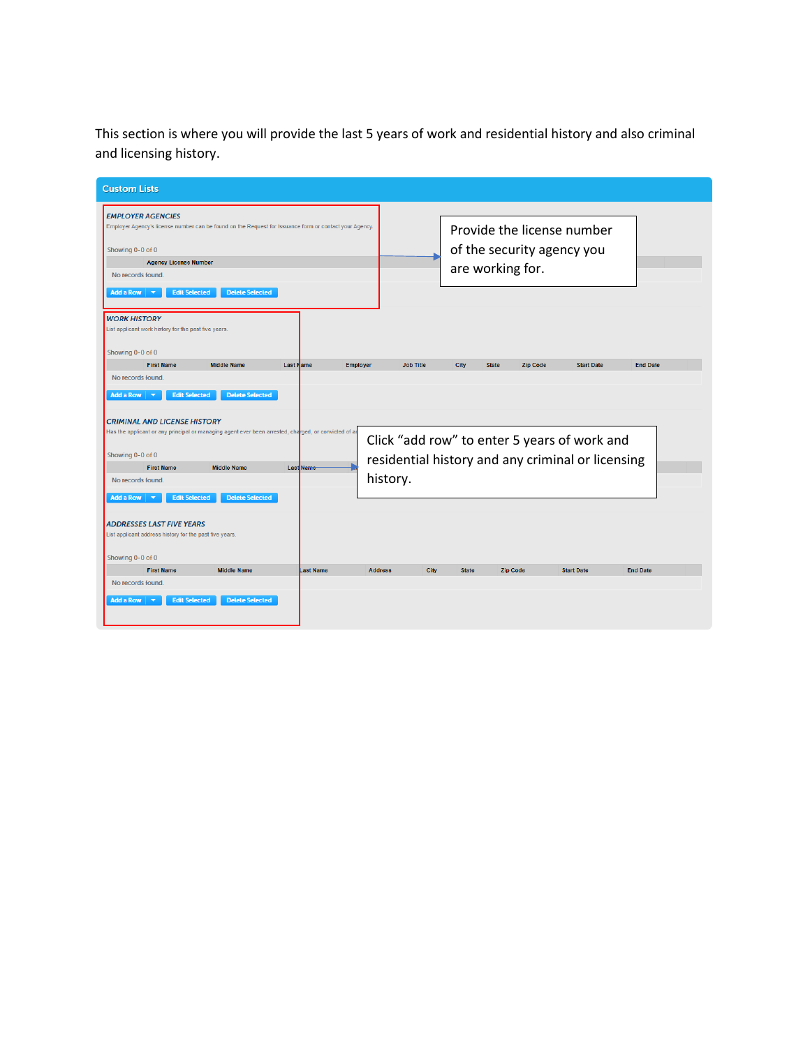This section is where you will provide the last 5 years of work and residential history and also criminal and licensing history.

| <b>Custom Lists</b>                                                                                    |                                                                                                          |
|--------------------------------------------------------------------------------------------------------|----------------------------------------------------------------------------------------------------------|
|                                                                                                        |                                                                                                          |
| <b>EMPLOYER AGENCIES</b>                                                                               |                                                                                                          |
| Employer Agency's license number can be found on the Request for Issuance form or contact your Agency. | Provide the license number                                                                               |
|                                                                                                        |                                                                                                          |
| Showing 0-0 of 0                                                                                       | of the security agency you                                                                               |
| <b>Agency License Number</b><br>No records found.                                                      | are working for.                                                                                         |
|                                                                                                        |                                                                                                          |
| <b>Edit Selected</b><br><b>Delete Selected</b><br>Add a Row<br>$\overline{\phantom{a}}$                |                                                                                                          |
| <b>WORK HISTORY</b>                                                                                    |                                                                                                          |
| List applicant work history for the past five years.                                                   |                                                                                                          |
|                                                                                                        |                                                                                                          |
| Showing 0-0 of 0<br><b>First Name</b><br><b>Middle Name</b><br><b>Last Name</b><br><b>Employer</b>     | <b>End Date</b><br><b>Job Title</b><br>City<br><b>State</b><br><b>Zip Code</b><br><b>Start Date</b>      |
| No records found.                                                                                      |                                                                                                          |
| $\overline{\phantom{a}}$                                                                               |                                                                                                          |
| <b>Edit Selected</b><br><b>Delete Selected</b><br>Add a Row                                            |                                                                                                          |
| <b>CRIMINAL AND LICENSE HISTORY</b>                                                                    |                                                                                                          |
| Has the applicant or any principal or managing agent ever been arrested, charged, or convicted of an   |                                                                                                          |
|                                                                                                        | Click "add row" to enter 5 years of work and                                                             |
| Showing 0-0 of 0<br><b>First Name</b><br><b>Middle Name</b><br><b>Last Name</b>                        | residential history and any criminal or licensing                                                        |
| No records found.                                                                                      | history.                                                                                                 |
|                                                                                                        |                                                                                                          |
| <b>Edit Selected</b><br><b>Delete Selected</b><br>Add a Row                                            |                                                                                                          |
| <b>ADDRESSES LAST FIVE YEARS</b>                                                                       |                                                                                                          |
| List applicant address history for the past five years.                                                |                                                                                                          |
|                                                                                                        |                                                                                                          |
| Showing 0-0 of 0                                                                                       |                                                                                                          |
| <b>First Name</b><br><b>Middle Name</b><br>Last Name                                                   | <b>End Date</b><br><b>Address</b><br><b>City</b><br><b>State</b><br><b>Zip Code</b><br><b>Start Date</b> |
| No records found.                                                                                      |                                                                                                          |
| <b>Edit Selected</b><br><b>Delete Selected</b><br>Add a Row<br>$\overline{\phantom{a}}$                |                                                                                                          |
|                                                                                                        |                                                                                                          |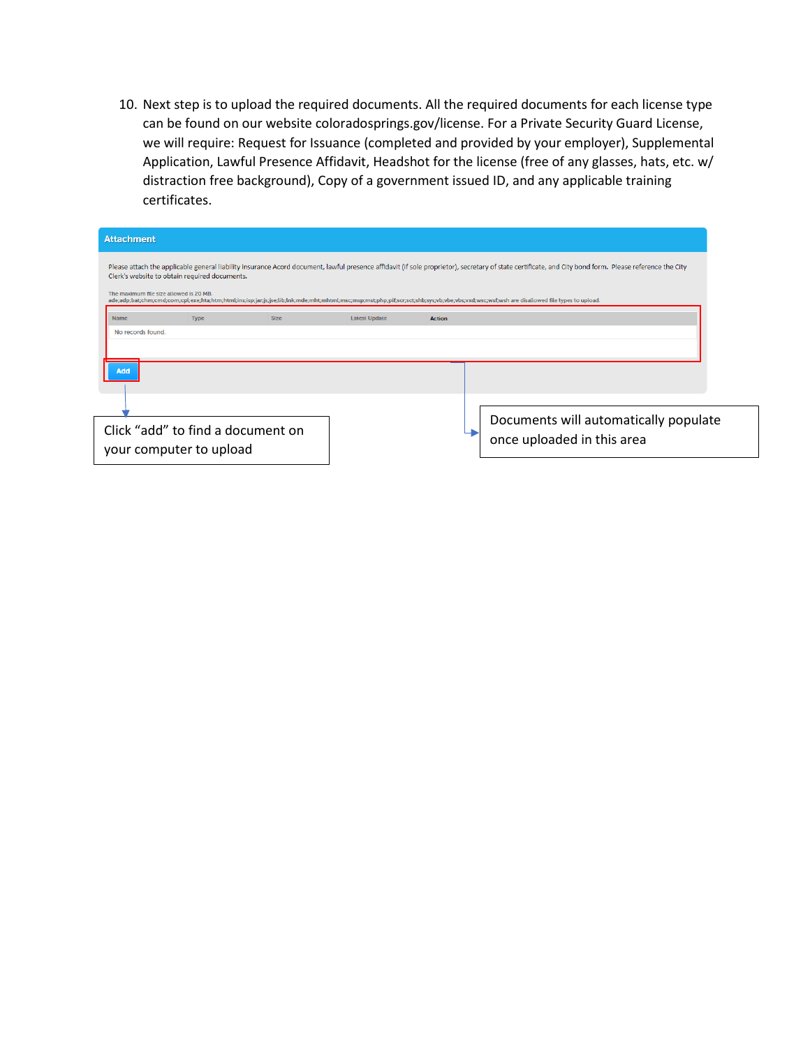10. Next step is to upload the required documents. All the required documents for each license type can be found on our website coloradosprings.gov/license. For a Private Security Guard License, we will require: Request for Issuance (completed and provided by your employer), Supplemental Application, Lawful Presence Affidavit, Headshot for the license (free of any glasses, hats, etc. w/ distraction free background), Copy of a government issued ID, and any applicable training certificates.

| <b>Attachment</b>                       |                                               |             |                      |               |                                                                                                                                                                                                        |
|-----------------------------------------|-----------------------------------------------|-------------|----------------------|---------------|--------------------------------------------------------------------------------------------------------------------------------------------------------------------------------------------------------|
|                                         |                                               |             |                      |               | Please attach the applicable general liability insurance Acord document, lawful presence affidavit (if sole proprietor), secretary of state certificate, and City bond form. Please reference the City |
| The maximum file size allowed is 20 MB. | Clerk's website to obtain required documents. |             |                      |               |                                                                                                                                                                                                        |
|                                         |                                               |             |                      |               | ade;adp;bat;chm;cmd;com;cpl;exe;hta;htm;html;ins;isp;jar;js;jse;lib;lnk;mde;mht;mhtml;msc;msp;mst;php;pif;scr;sct;shb;sys;vb;vbe;vbs;vxd;wsc;wsf;wsh are disallowed file types to upload.              |
| Name                                    | <b>Type</b>                                   | <b>Size</b> | <b>Latest Update</b> | <b>Action</b> |                                                                                                                                                                                                        |
| Add                                     |                                               |             |                      |               |                                                                                                                                                                                                        |
|                                         |                                               |             |                      |               |                                                                                                                                                                                                        |
| your computer to upload                 | Click "add" to find a document on             |             |                      |               | Documents will automatically populate<br>once uploaded in this area                                                                                                                                    |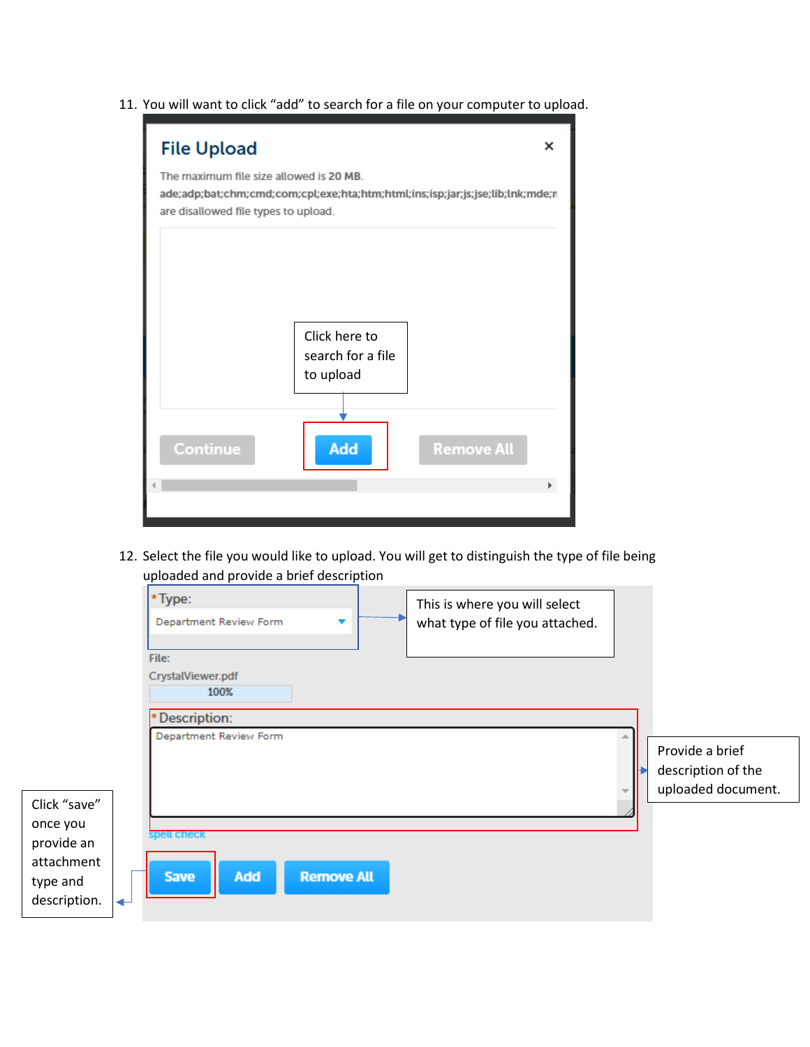11. You will want to click "add" to search for a file on your computer to upload.



12. Select the file you would like to upload. You will get to distinguish the type of file being uploaded and provide a brief description

|                                                                                       | *Type:<br>This is where you will select<br>Department Review Form<br>what type of file you attached.<br>▼<br>File:<br>CrystalViewer.pdf<br>100% |                                                             |
|---------------------------------------------------------------------------------------|-------------------------------------------------------------------------------------------------------------------------------------------------|-------------------------------------------------------------|
| Click "save"<br>once you<br>provide an<br>attachment<br>type and<br>description.<br>↵ | Description:<br>Department Review Form<br><b>Spell Check</b><br>Add<br><b>Remove All</b><br><b>Save</b>                                         | Provide a brief<br>description of the<br>uploaded document. |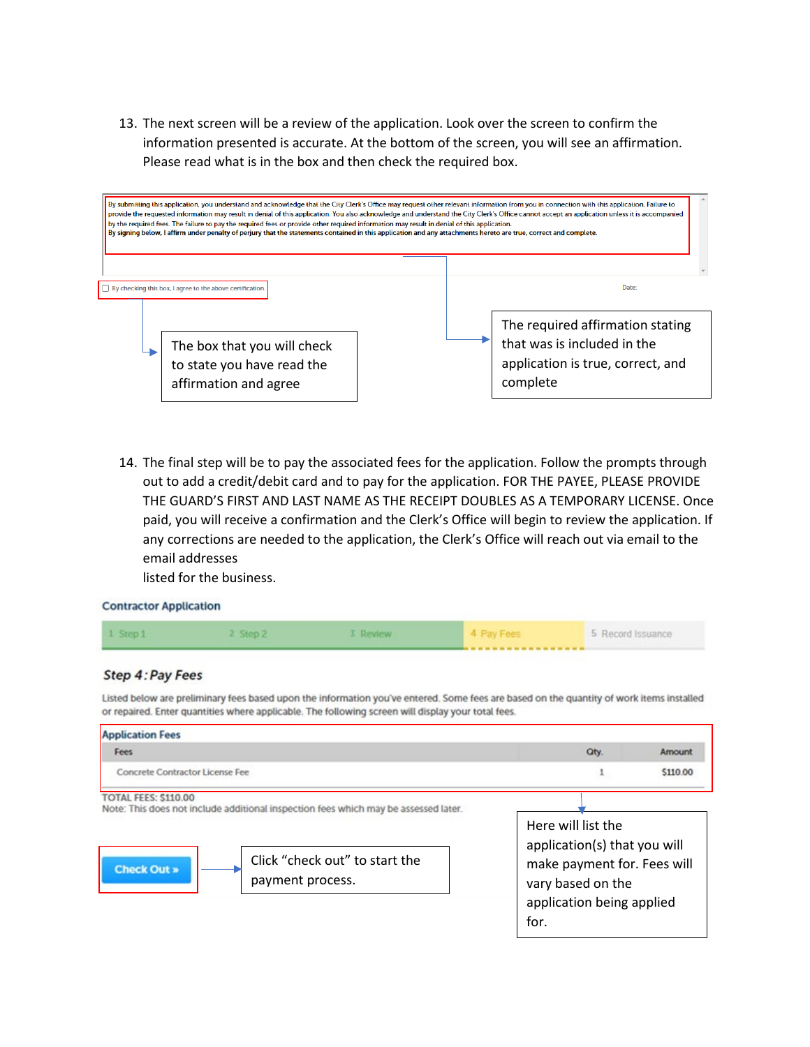13. The next screen will be a review of the application. Look over the screen to confirm the information presented is accurate. At the bottom of the screen, you will see an affirmation. Please read what is in the box and then check the required box.



14. The final step will be to pay the associated fees for the application. Follow the prompts through out to add a credit/debit card and to pay for the application. FOR THE PAYEE, PLEASE PROVIDE THE GUARD'S FIRST AND LAST NAME AS THE RECEIPT DOUBLES AS A TEMPORARY LICENSE. Once paid, you will receive a confirmation and the Clerk's Office will begin to review the application. If any corrections are needed to the application, the Clerk's Office will reach out via email to the email addresses

listed for the business.

## **Contractor Application**

| 1 Step 1 | Step <sub>2</sub> | Review | <b>LERR</b>       | 5 Record Issuance |
|----------|-------------------|--------|-------------------|-------------------|
|          |                   |        | ----------------- |                   |

## Step 4: Pay Fees

Listed below are preliminary fees based upon the information you've entered. Some fees are based on the quantity of work items installed or repaired. Enter quantities where applicable. The following screen will display your total fees.

| <b>Application Fees</b>                                                                                                                                                                 |                                                                                                                                             |          |
|-----------------------------------------------------------------------------------------------------------------------------------------------------------------------------------------|---------------------------------------------------------------------------------------------------------------------------------------------|----------|
| Fees                                                                                                                                                                                    | Qty.                                                                                                                                        | Amount   |
| Concrete Contractor License Fee                                                                                                                                                         |                                                                                                                                             | \$110.00 |
| TOTAL FEES: \$110.00<br>Note: This does not include additional inspection fees which may be assessed later.<br>Click "check out" to start the<br><b>Check Out »</b><br>payment process. | Here will list the<br>application(s) that you will<br>make payment for. Fees will<br>vary based on the<br>application being applied<br>for. |          |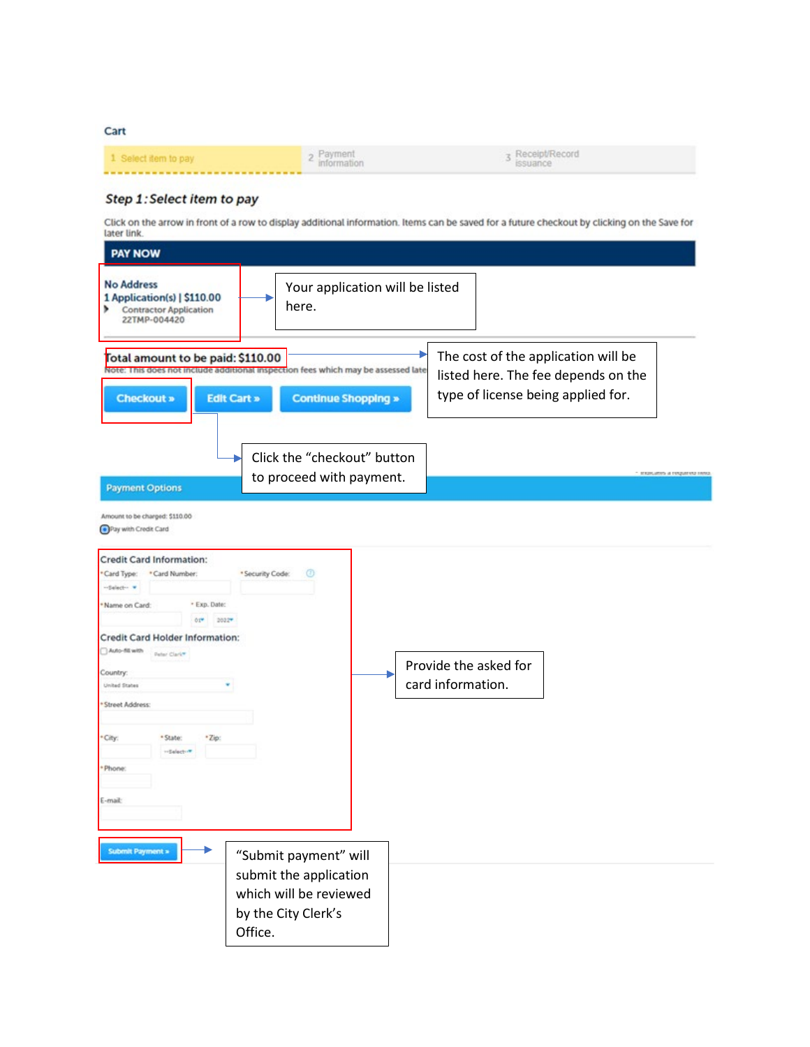Cart

|  | <b>Receipt/Record</b><br>$-1$<br>issuance |
|--|-------------------------------------------|
|  |                                           |

## Step 1: Select item to pay

Click on the arrow in front of a row to display additional information. Items can be saved for a future checkout by clicking on the Save for later link.

| <b>PAY NOW</b>                                                                                                                                                                                                                                                                                                             |                                                                                                             |                                 |                                            |                                                                           |                                     |
|----------------------------------------------------------------------------------------------------------------------------------------------------------------------------------------------------------------------------------------------------------------------------------------------------------------------------|-------------------------------------------------------------------------------------------------------------|---------------------------------|--------------------------------------------|---------------------------------------------------------------------------|-------------------------------------|
| <b>No Address</b><br>1 Application(s)   \$110.00<br>۰<br><b>Contractor Application</b><br>22TMP-004420                                                                                                                                                                                                                     | here.                                                                                                       | Your application will be listed |                                            |                                                                           |                                     |
| Total amount to be paid: \$110.00<br>Note: This does not include additional inspection fees which may be assessed late<br><b>Checkout »</b><br><b>Edit Cart »</b><br><b>Continue Shopping »</b>                                                                                                                            |                                                                                                             |                                 |                                            | The cost of the application will be<br>type of license being applied for. | listed here. The fee depends on the |
| <b>Payment Options</b><br>Amount to be charged: \$110.00<br>Pay with Credit Card                                                                                                                                                                                                                                           | Click the "checkout" button<br>to proceed with payment.                                                     |                                 |                                            |                                                                           | - successo a unhauno sino           |
| <b>Credit Card Information:</b><br>*Card Type:<br>* Card Number:<br>-Select-<br>*Name on Card:<br>* Exp. Date:<br>$0.1$<br>2022<br>Credit Card Holder Information:<br>Auto-fill with<br>Peter Clark*<br>Country:<br>United States<br>* Street Address:<br>*City:<br>* State:<br>*Zip:<br>-Selective<br>· Phone:<br>E-mail: | $^{\circ}$<br>* Security Code:                                                                              | ▶                               | Provide the asked for<br>card information. |                                                                           |                                     |
| Submit Payment »                                                                                                                                                                                                                                                                                                           | "Submit payment" will<br>submit the application<br>which will be reviewed<br>by the City Clerk's<br>Office. |                                 |                                            |                                                                           |                                     |